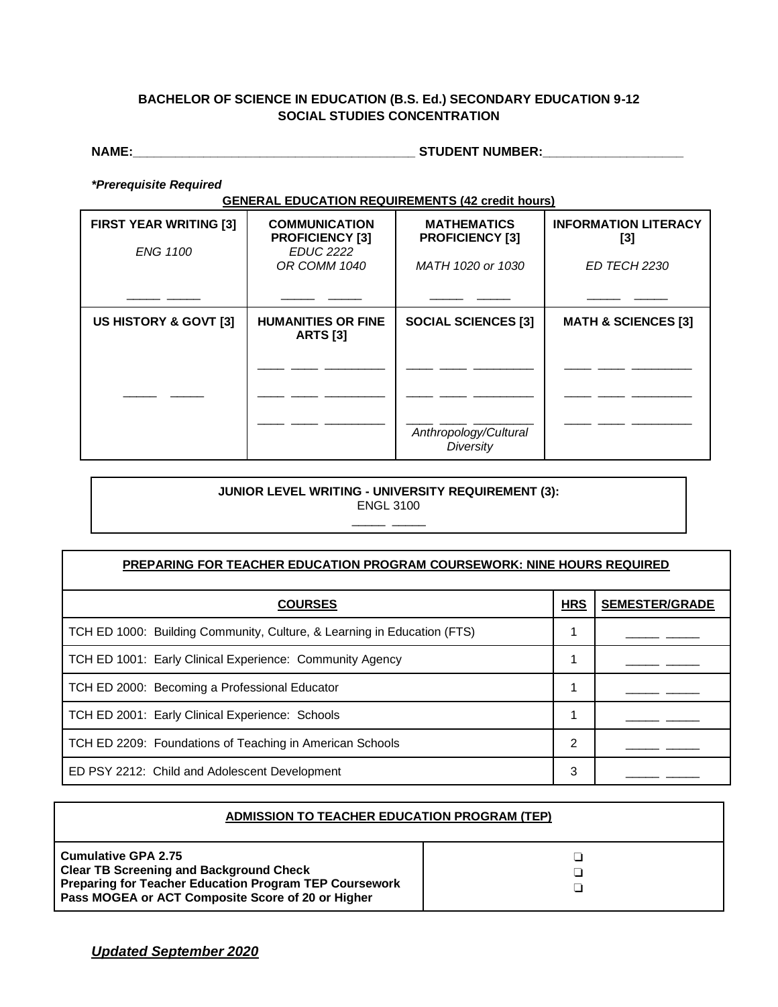## **BACHELOR OF SCIENCE IN EDUCATION (B.S. Ed.) SECONDARY EDUCATION 9-12 SOCIAL STUDIES CONCENTRATION**

**NAME:\_\_\_\_\_\_\_\_\_\_\_\_\_\_\_\_\_\_\_\_\_\_\_\_\_\_\_\_\_\_\_\_\_\_\_\_\_\_\_\_ STUDENT NUMBER:\_\_\_\_\_\_\_\_\_\_\_\_\_\_\_\_\_\_\_\_**

*\*Prerequisite Required*

**GENERAL EDUCATION REQUIREMENTS (42 credit hours)**

| <b>FIRST YEAR WRITING [3]</b><br><b>ENG 1100</b> | <b>COMMUNICATION</b><br><b>PROFICIENCY [3]</b><br><b>EDUC 2222</b> | <b>MATHEMATICS</b><br><b>PROFICIENCY [3]</b> | <b>INFORMATION LITERACY</b><br>[3] |
|--------------------------------------------------|--------------------------------------------------------------------|----------------------------------------------|------------------------------------|
|                                                  | OR COMM 1040                                                       | MATH 1020 or 1030                            | ED TECH 2230                       |
| US HISTORY & GOVT [3]                            | <b>HUMANITIES OR FINE</b><br><b>ARTS [3]</b>                       | <b>SOCIAL SCIENCES [3]</b>                   | <b>MATH &amp; SCIENCES [3]</b>     |
|                                                  |                                                                    |                                              |                                    |
|                                                  |                                                                    |                                              |                                    |
|                                                  |                                                                    | Anthropology/Cultural<br>Diversity           |                                    |

## **JUNIOR LEVEL WRITING - UNIVERSITY REQUIREMENT (3):** ENGL 3100

\_\_\_\_\_ \_\_\_\_\_

| <b>PREPARING FOR TEACHER EDUCATION PROGRAM COURSEWORK: NINE HOURS REQUIRED</b> |            |                       |
|--------------------------------------------------------------------------------|------------|-----------------------|
| <b>COURSES</b>                                                                 | <b>HRS</b> | <b>SEMESTER/GRADE</b> |
| TCH ED 1000: Building Community, Culture, & Learning in Education (FTS)        |            |                       |
| TCH ED 1001: Early Clinical Experience: Community Agency                       |            |                       |
| TCH ED 2000: Becoming a Professional Educator                                  |            |                       |
| TCH ED 2001: Early Clinical Experience: Schools                                |            |                       |
| TCH ED 2209: Foundations of Teaching in American Schools                       | 2          |                       |
| ED PSY 2212: Child and Adolescent Development                                  | 3          |                       |

| <b>ADMISSION TO TEACHER EDUCATION PROGRAM (TEP)</b>                                                                                                                                  |  |  |
|--------------------------------------------------------------------------------------------------------------------------------------------------------------------------------------|--|--|
| Cumulative GPA 2.75<br><b>Clear TB Screening and Background Check</b><br>Preparing for Teacher Education Program TEP Coursework<br>Pass MOGEA or ACT Composite Score of 20 or Higher |  |  |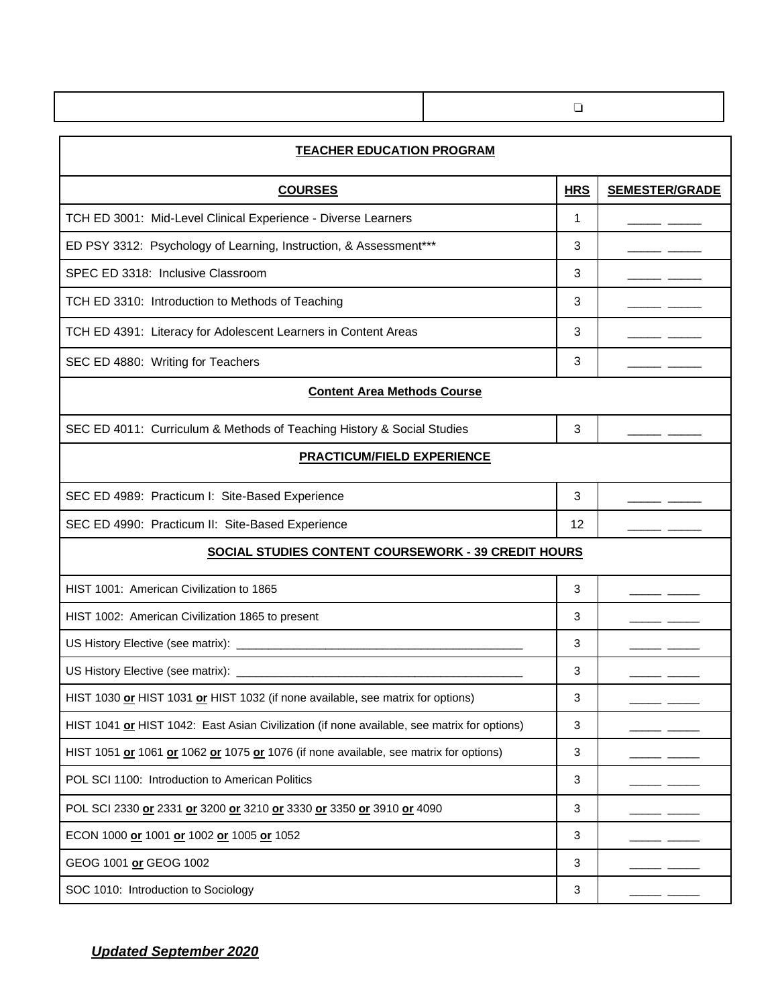|                                                                        | ❏          |                       |
|------------------------------------------------------------------------|------------|-----------------------|
| <b>TEACHER EDUCATION PROGRAM</b>                                       |            |                       |
| <b>COURSES</b>                                                         | <b>HRS</b> | <b>SEMESTER/GRADE</b> |
| TCH ED 3001: Mid-Level Clinical Experience - Diverse Learners          | 1          |                       |
| ED PSY 3312: Psychology of Learning, Instruction, & Assessment***      | 3          |                       |
| SPEC ED 3318: Inclusive Classroom                                      | 3          |                       |
| TCH ED 3310: Introduction to Methods of Teaching                       | 3          |                       |
| TCH ED 4391: Literacy for Adolescent Learners in Content Areas         | 3          |                       |
| SEC ED 4880: Writing for Teachers                                      | 3          |                       |
| <b>Content Area Methods Course</b>                                     |            |                       |
| SEC ED 4011: Curriculum & Methods of Teaching History & Social Studies | 3          |                       |
| <b>PRACTICUM/FIELD EXPERIENCE</b>                                      |            |                       |
| SEC ED 4989: Practicum I: Site-Based Experience                        | 3          |                       |
| SEC ED 4990: Practicum II: Site-Based Experience                       | 12         |                       |
| SOCIAL STUDIES CONTENT COURSEWORK - 39 CREDIT HOURS                    |            |                       |

| HIST 1001: American Civilization to 1865                                                    | 3 |  |
|---------------------------------------------------------------------------------------------|---|--|
| HIST 1002: American Civilization 1865 to present                                            | 3 |  |
|                                                                                             | 3 |  |
|                                                                                             | 3 |  |
| HIST 1030 or HIST 1031 or HIST 1032 (if none available, see matrix for options)             | 3 |  |
| HIST 1041 or HIST 1042: East Asian Civilization (if none available, see matrix for options) | 3 |  |
| HIST 1051 or 1061 or 1062 or 1075 or 1076 (if none available, see matrix for options)       | 3 |  |
| POL SCI 1100: Introduction to American Politics                                             |   |  |
| POL SCI 2330 or 2331 or 3200 or 3210 or 3330 or 3350 or 3910 or 4090                        | 3 |  |
| ECON 1000 or 1001 or 1002 or 1005 or 1052                                                   | 3 |  |
| GEOG 1001 or GEOG 1002                                                                      | 3 |  |
| SOC 1010: Introduction to Sociology                                                         | 3 |  |

*Updated September 2020*